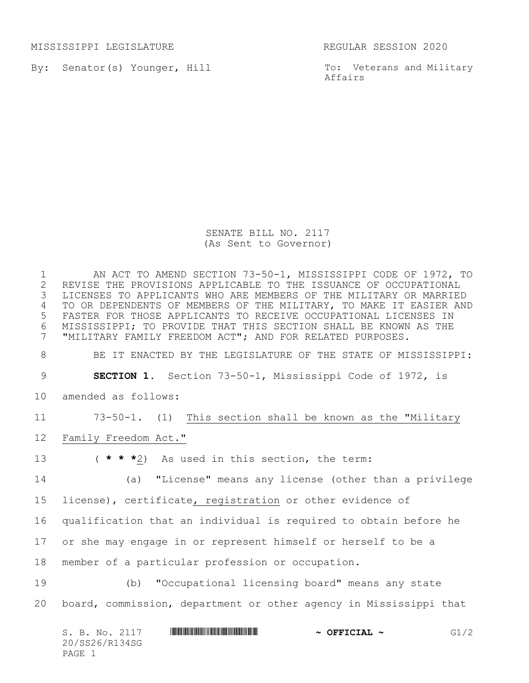MISSISSIPPI LEGISLATURE REGULAR SESSION 2020

By: Senator(s) Younger, Hill

To: Veterans and Military Affairs

SENATE BILL NO. 2117 (As Sent to Governor)

1 AN ACT TO AMEND SECTION 73-50-1, MISSISSIPPI CODE OF 1972, TO<br>2 REVISE THE PROVISIONS APPLICABLE TO THE ISSUANCE OF OCCUPATIONAL 2 REVISE THE PROVISIONS APPLICABLE TO THE ISSUANCE OF OCCUPATIONAL<br>3 LICENSES TO APPLICANTS WHO ARE MEMBERS OF THE MILITARY OR MARRIEI LICENSES TO APPLICANTS WHO ARE MEMBERS OF THE MILITARY OR MARRIED TO OR DEPENDENTS OF MEMBERS OF THE MILITARY, TO MAKE IT EASIER AND FASTER FOR THOSE APPLICANTS TO RECEIVE OCCUPATIONAL LICENSES IN MISSISSIPPI; TO PROVIDE THAT THIS SECTION SHALL BE KNOWN AS THE "MILITARY FAMILY FREEDOM ACT"; AND FOR RELATED PURPOSES. BE IT ENACTED BY THE LEGISLATURE OF THE STATE OF MISSISSIPPI: **SECTION 1.** Section 73-50-1, Mississippi Code of 1972, is amended as follows: 73-50-1. (1) This section shall be known as the "Military Family Freedom Act." ( **\* \* \***2) As used in this section, the term: (a) "License" means any license (other than a privilege license), certificate, registration or other evidence of qualification that an individual is required to obtain before he or she may engage in or represent himself or herself to be a member of a particular profession or occupation. (b) "Occupational licensing board" means any state board, commission, department or other agency in Mississippi that

| S. B. No. 2117 | $\sim$ OFFICIAL $\sim$ | G1/2 |
|----------------|------------------------|------|
| 20/SS26/R134SG |                        |      |
| PAGE 1         |                        |      |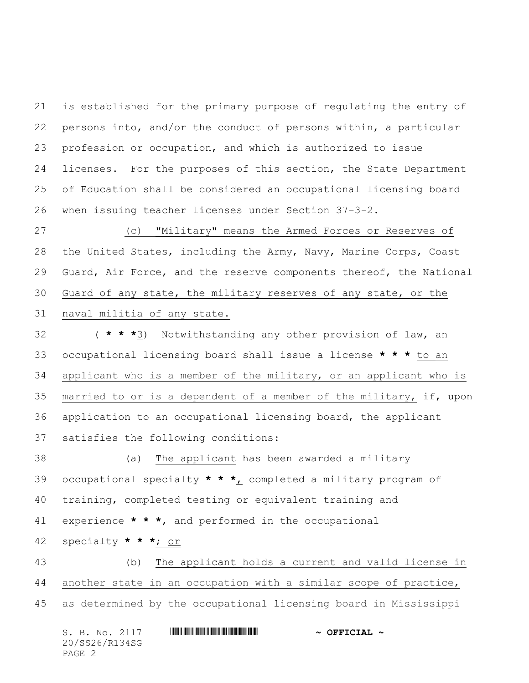is established for the primary purpose of regulating the entry of persons into, and/or the conduct of persons within, a particular profession or occupation, and which is authorized to issue licenses. For the purposes of this section, the State Department of Education shall be considered an occupational licensing board when issuing teacher licenses under Section 37-3-2.

 (c) "Military" means the Armed Forces or Reserves of the United States, including the Army, Navy, Marine Corps, Coast Guard, Air Force, and the reserve components thereof, the National Guard of any state, the military reserves of any state, or the naval militia of any state.

 ( **\* \* \***3) Notwithstanding any other provision of law, an occupational licensing board shall issue a license **\* \* \*** to an applicant who is a member of the military, or an applicant who is married to or is a dependent of a member of the military, if, upon application to an occupational licensing board, the applicant satisfies the following conditions:

 (a) The applicant has been awarded a military occupational specialty **\* \* \***, completed a military program of training, completed testing or equivalent training and experience **\* \* \***, and performed in the occupational

specialty **\* \* \***; or

 (b) The applicant holds a current and valid license in another state in an occupation with a similar scope of practice, as determined by the occupational licensing board in Mississippi

| S. B. No. 2117 | $\sim$ OFFICIAL $\sim$ |
|----------------|------------------------|
| 20/SS26/R134SG |                        |
| PAGE 2         |                        |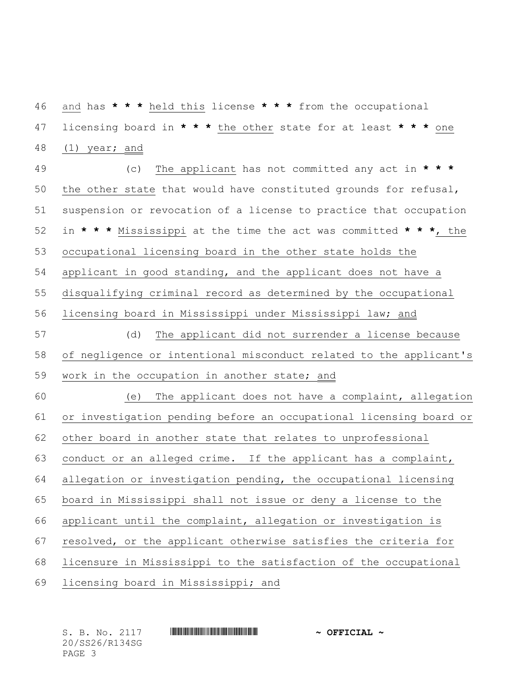and has **\* \* \*** held this license **\* \* \*** from the occupational licensing board in **\* \* \*** the other state for at least **\* \* \*** one 48 (1) year; and

 (c) The applicant has not committed any act in **\* \* \*** the other state that would have constituted grounds for refusal, suspension or revocation of a license to practice that occupation in **\* \* \*** Mississippi at the time the act was committed **\* \* \***, the occupational licensing board in the other state holds the applicant in good standing, and the applicant does not have a disqualifying criminal record as determined by the occupational licensing board in Mississippi under Mississippi law; and (d) The applicant did not surrender a license because of negligence or intentional misconduct related to the applicant's 59 work in the occupation in another state; and (e) The applicant does not have a complaint, allegation or investigation pending before an occupational licensing board or other board in another state that relates to unprofessional conduct or an alleged crime. If the applicant has a complaint, allegation or investigation pending, the occupational licensing board in Mississippi shall not issue or deny a license to the applicant until the complaint, allegation or investigation is resolved, or the applicant otherwise satisfies the criteria for licensure in Mississippi to the satisfaction of the occupational licensing board in Mississippi; and

20/SS26/R134SG PAGE 3

## S. B. No. 2117 \*SS26/R134SG\* **~ OFFICIAL ~**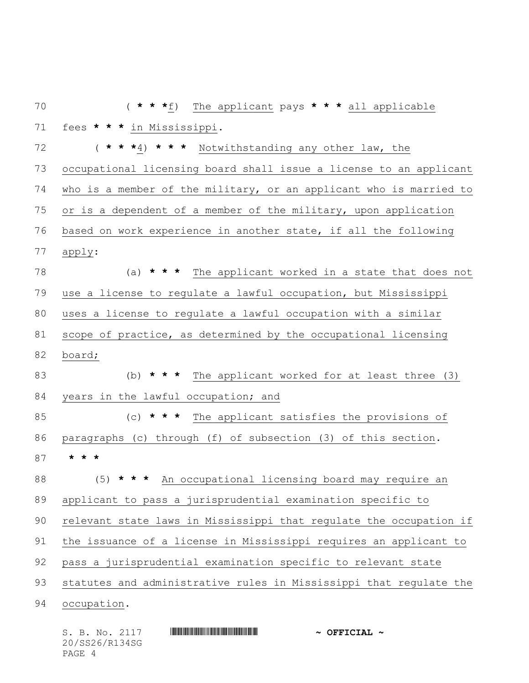| 70 | * * * $f$ )<br>The applicant pays * * * all applicable             |
|----|--------------------------------------------------------------------|
| 71 | fees * * * in Mississippi.                                         |
| 72 | (***4) *** Notwithstanding any other law, the                      |
| 73 | occupational licensing board shall issue a license to an applicant |
| 74 | who is a member of the military, or an applicant who is married to |
| 75 | or is a dependent of a member of the military, upon application    |
| 76 | based on work experience in another state, if all the following    |
| 77 | apply:                                                             |
| 78 | (a) * * * The applicant worked in a state that does not            |
| 79 | use a license to regulate a lawful occupation, but Mississippi     |
| 80 | uses a license to regulate a lawful occupation with a similar      |
| 81 | scope of practice, as determined by the occupational licensing     |
| 82 | board;                                                             |
| 83 |                                                                    |
|    | * * *<br>The applicant worked for at least three (3)<br>(b)        |
| 84 | years in the lawful occupation; and                                |
| 85 | * * * The applicant satisfies the provisions of<br>(C)             |
| 86 | paragraphs (c) through (f) of subsection (3) of this section.      |
| 87 | *                                                                  |
| 88 | (5)<br>* * An occupational licensing board may require an          |
| 89 | applicant to pass a jurisprudential examination specific to        |
| 90 | relevant state laws in Mississippi that regulate the occupation if |
| 91 | the issuance of a license in Mississippi requires an applicant to  |
| 92 | pass a jurisprudential examination specific to relevant state      |
| 93 | statutes and administrative rules in Mississippi that regulate the |

| S. B. No. 2117 | $\sim$ OFFICIAL $\sim$ |
|----------------|------------------------|
| 20/SS26/R134SG |                        |
| PAGE 4         |                        |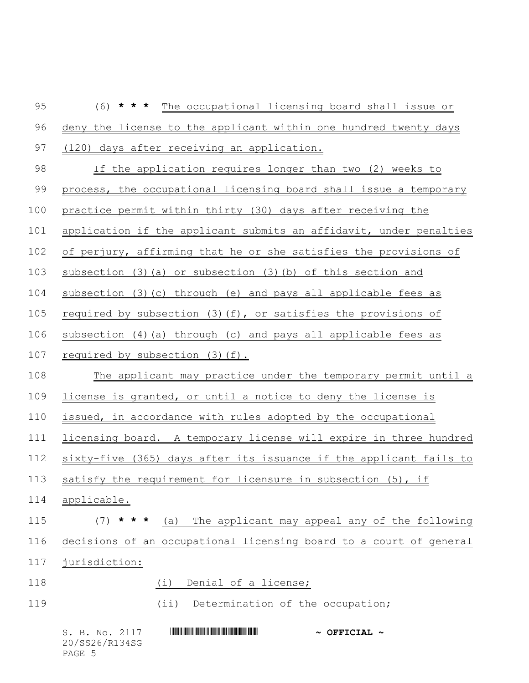| 95  | (6)<br>* * *<br>The occupational licensing board shall issue or      |
|-----|----------------------------------------------------------------------|
| 96  | deny the license to the applicant within one hundred twenty days     |
| 97  | (120)<br>days after receiving an application.                        |
| 98  | If the application requires longer than two (2) weeks to             |
| 99  | process, the occupational licensing board shall issue a temporary    |
| 100 | practice permit within thirty (30) days after receiving the          |
| 101 | application if the applicant submits an affidavit, under penalties   |
| 102 | of perjury, affirming that he or she satisfies the provisions of     |
| 103 | subsection $(3)$ $(a)$ or subsection $(3)$ $(b)$ of this section and |
| 104 | subsection (3) (c) through (e) and pays all applicable fees as       |
| 105 | required by subsection $(3)(f)$ , or satisfies the provisions of     |
| 106 | subsection (4)(a) through (c) and pays all applicable fees as        |
| 107 | required by subsection (3)(f).                                       |
| 108 | The applicant may practice under the temporary permit until a        |
| 109 | license is granted, or until a notice to deny the license is         |
| 110 | issued, in accordance with rules adopted by the occupational         |
| 111 | licensing board. A temporary license will expire in three hundred    |
| 112 | sixty-five (365) days after its issuance if the applicant fails to   |
| 113 | satisfy the requirement for licensure in subsection (5), if          |
| 114 | applicable.                                                          |
| 115 | (a) The applicant may appeal any of the following<br>(7)<br>* * *    |
| 116 | decisions of an occupational licensing board to a court of general   |
| 117 | jurisdiction:                                                        |
| 118 | Denial of a license;<br>(i)                                          |
| 119 | Determination of the occupation;<br>$(i$ i)                          |
|     |                                                                      |

S. B. No. 2117 \*SS26/R134SG\* **~ OFFICIAL ~** 20/SS26/R134SG PAGE 5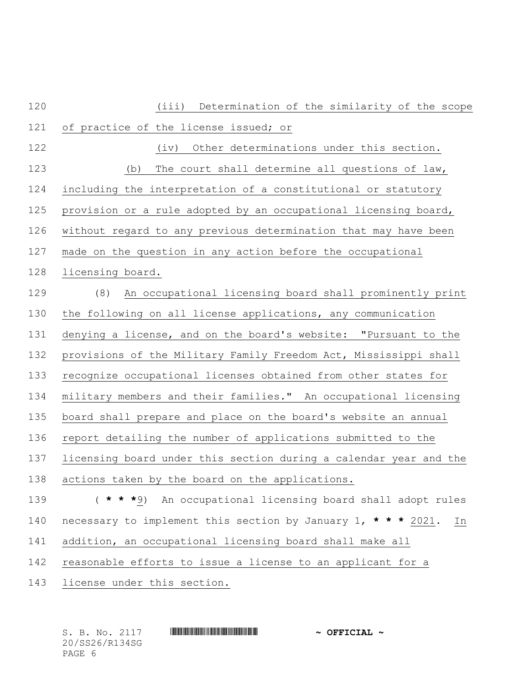| 120 | Determination of the similarity of the scope<br>(iii)               |
|-----|---------------------------------------------------------------------|
| 121 | of practice of the license issued; or                               |
| 122 | Other determinations under this section.<br>(iv)                    |
| 123 | The court shall determine all questions of law,<br>(b)              |
| 124 | including the interpretation of a constitutional or statutory       |
| 125 | provision or a rule adopted by an occupational licensing board,     |
| 126 | without regard to any previous determination that may have been     |
| 127 | made on the question in any action before the occupational          |
| 128 | licensing board.                                                    |
| 129 | (8)<br>An occupational licensing board shall prominently print      |
| 130 | the following on all license applications, any communication        |
| 131 | denying a license, and on the board's website: "Pursuant to the     |
| 132 | provisions of the Military Family Freedom Act, Mississippi shall    |
| 133 | recognize occupational licenses obtained from other states for      |
| 134 | military members and their families." An occupational licensing     |
| 135 | board shall prepare and place on the board's website an annual      |
| 136 | report detailing the number of applications submitted to the        |
| 137 | licensing board under this section during a calendar year and the   |
| 138 | actions taken by the board on the applications.                     |
| 139 | ( * * *9) An occupational licensing board shall adopt rules         |
| 140 | necessary to implement this section by January 1, * * * 2021.<br>In |
| 141 | addition, an occupational licensing board shall make all            |
| 142 | reasonable efforts to issue a license to an applicant for a         |
| 143 | license under this section.                                         |
|     |                                                                     |

| S. B. No. 2117 | $\sim$ OFFICIAL $\sim$ |
|----------------|------------------------|
| 20/SS26/R134SG |                        |
| PAGE 6         |                        |